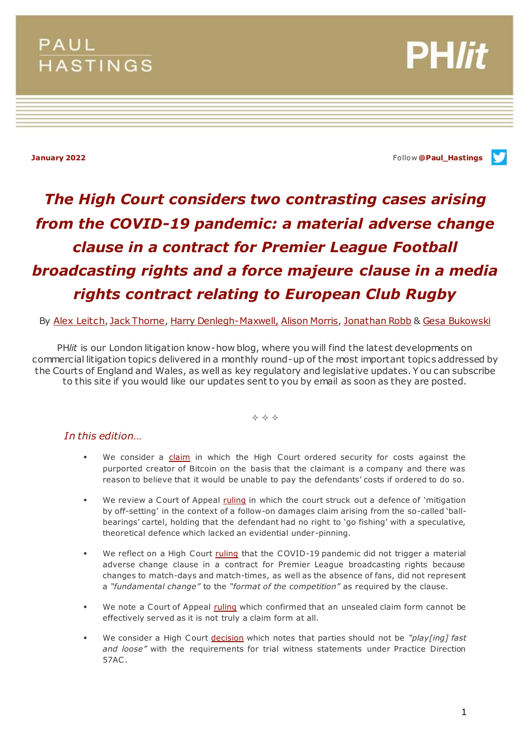# PAUL **HASTINGS**

**PH/it** 

**January 2022** Follow **[@Paul\\_Hastings](http://twitter.com/Paul_Hastings)**

# *The High Court considers two contrasting cases arising from the COVID-19 pandemic: a material adverse change clause in a contract for Premier League Football broadcasting rights and a force majeure clause in a media rights contract relating to European Club Rugby*

By [Alex Leitch](https://www.paulhastings.com/professionals/alexleitch)[, Jack Thorne](https://www.paulhastings.com/professionals/details/jackthorne)[, Harry Denlegh-Maxwell,](https://www.paulhastings.com/professionals/harrydenlegh-maxwell) [Alison Morris,](https://www.paulhastings.com/professionals/details/alisonmorris) [Jonathan Robb](https://www.paulhastings.com/professionals/details/jonathanrobb) & [Gesa Bukowski](https://www.paulhastings.com/professionals/details/gesabukowski)

PH*lit* is our London litigation know-how blog, where you will find the latest developments on commercial litigation topics delivered in a monthly round-up of the most important topics addressed by the Courts of England and Wales, as well as key regulatory and legislative updates. Y ou can subscribe to this site if you would like our updates sent to you by email as soon as they are posted.

 $\Leftrightarrow$   $\Leftrightarrow$   $\Leftrightarrow$ 

# *In this edition…*

- We consider a [claim](#page-1-0) in which the High Court ordered security for costs against the purported creator of Bitcoin on the basis that the claimant is a company and there was reason to believe that it would be unable to pay the defendants' costs if ordered to do so.
- We review a Court of Appeal [ruling](#page-3-0) in which the court struck out a defence of 'mitigation by off-setting' in the context of a follow-on damages claim arising from the so-called 'ballbearings' cartel, holding that the defendant had no right to 'go fishing' with a speculative, theoretical defence which lacked an evidential under-pinning.
- We reflect on a High Court [ruling](#page-6-0) that the COVID-19 pandemic did not trigger a material adverse change clause in a contract for Premier League broadcasting rights because changes to match-days and match-times, as well as the absence of fans, did not represent a *"fundamental change"* to the *"format of the competition"* as required by the clause.
- We note a Court of Appeal [ruling](#page-8-0) which confirmed that an unsealed claim form cannot be effectively served as it is not truly a claim form at all.
- We consider a High Court [decision](#page-10-0) which notes that parties should not be *"play[ing] fast and loose"* with the requirements for trial witness statements under Practice Direction 57AC .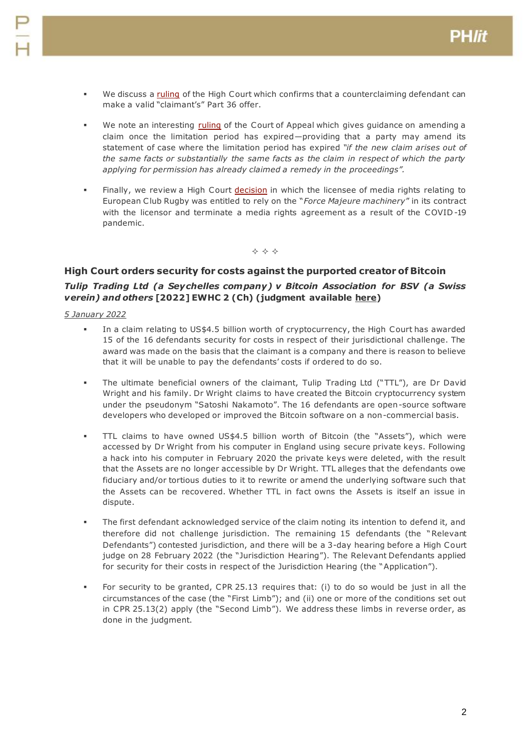- We discuss a [ruling](#page-12-0) of the High Court which confirms that a counterclaiming defendant can make a valid "claimant's" Part 36 offer.
- We note an interesting [ruling](#page-14-0) of the Court of Appeal which gives guidance on amending a claim once the limitation period has expired—providing that a party may amend its statement of case where the limitation period has expired *"if the new claim arises out of the same facts or substantially the same facts as the claim in respect of which the party applying for permission has already claimed a remedy in the proceedings".*
- Finally, we review a High Court [decision](#page-16-0) in which the licensee of media rights relating to European Club Rugby was entitled to rely on the "*Force Majeure machinery*" in its contract with the licensor and terminate a media rights agreement as a result of the COVID -19 pandemic.

 $\Leftrightarrow$   $\Leftrightarrow$   $\Leftrightarrow$ 

## <span id="page-1-0"></span>**High Court orders security for costs against the purported creator of Bitcoin**

# *Tulip Trading Ltd (a Seychelles company) v Bitcoin Association for BSV (a Swiss verein) and others* **[2022] EWHC 2 (Ch) (judgment available [here\)](https://www.bailii.org/ew/cases/EWHC/Ch/2022/2.html)**

- In a claim relating to US\$4.5 billion worth of cryptocurrency, the High Court has awarded 15 of the 16 defendants security for costs in respect of their jurisdictional challenge. The award was made on the basis that the claimant is a company and there is reason to believe that it will be unable to pay the defendants' costs if ordered to do so.
- The ultimate beneficial owners of the claimant, Tulip Trading Ltd ("TTL"), are Dr David Wright and his family. Dr Wright claims to have created the Bitcoin cryptocurrency system under the pseudonym "Satoshi Nakamoto". The 16 defendants are open-source software developers who developed or improved the Bitcoin software on a non-commercial basis.
- TTL claims to have owned US\$4.5 billion worth of Bitcoin (the "Assets"), which were accessed by Dr Wright from his computer in England using secure private keys. Following a hack into his computer in February 2020 the private keys were deleted, with the result that the Assets are no longer accessible by Dr Wright. TTL alleges that the defendants owe fiduciary and/or tortious duties to it to rewrite or amend the underlying software such that the Assets can be recovered. Whether TTL in fact owns the Assets is itself an issue in dispute.
- The first defendant acknowledged service of the claim noting its intention to defend it, and therefore did not challenge jurisdiction. The remaining 15 defendants (the "Relevant Defendants") contested jurisdiction, and there will be a 3-day hearing before a High Court judge on 28 February 2022 (the "Jurisdiction Hearing"). The Relevant Defendants applied for security for their costs in respect of the Jurisdiction Hearing (the "Application").
- For security to be granted, CPR 25.13 requires that: (i) to do so would be just in all the circumstances of the case (the "First Limb"); and (ii) one or more of the conditions set out in CPR 25.13(2) apply (the "Second Limb"). We address these limbs in reverse order, as done in the judgment.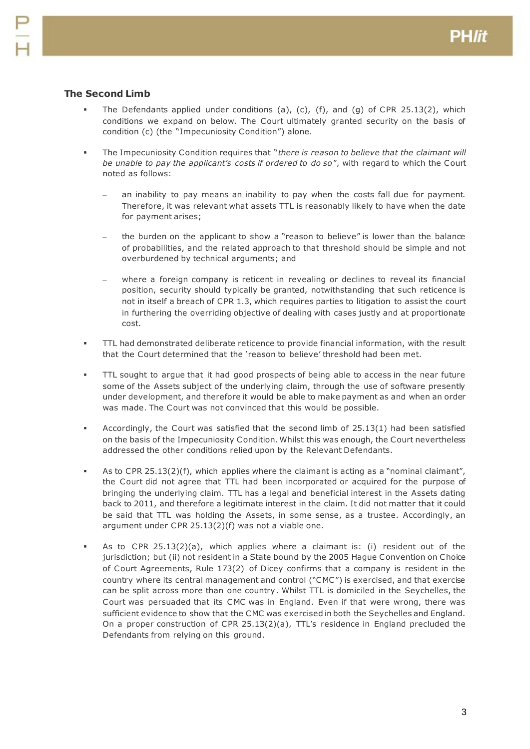## **The Second Limb**

- The Defendants applied under conditions (a), (c), (f), and (g) of CPR 25.13(2), which conditions we expand on below. The Court ultimately granted security on the basis of condition (c) (the "Impecuniosity Condition") alone.
- The Impecuniosity Condition requires that "*there is reason to believe that the claimant will be unable to pay the applicant's costs if ordered to do so*", with regard to which the Court noted as follows:
	- an inability to pay means an inability to pay when the costs fall due for payment. Therefore, it was relevant what assets TTL is reasonably likely to have when the date for payment arises;
	- the burden on the applicant to show a "reason to believe" is lower than the balance of probabilities, and the related approach to that threshold should be simple and not overburdened by technical arguments; and
	- where a foreign company is reticent in revealing or declines to reveal its financial position, security should typically be granted, notwithstanding that such reticence is not in itself a breach of CPR 1.3, which requires parties to litigation to assist the court in furthering the overriding objective of dealing with cases justly and at proportionate cost.
- TTL had demonstrated deliberate reticence to provide financial information, with the result that the Court determined that the 'reason to believe' threshold had been met.
- TTL sought to argue that it had good prospects of being able to access in the near future some of the Assets subject of the underlying claim, through the use of software presently under development, and therefore it would be able to make payment as and when an order was made. The Court was not convinced that this would be possible.
- Accordingly, the Court was satisfied that the second limb of 25.13(1) had been satisfied on the basis of the Impecuniosity Condition. Whilst this was enough, the Court nevertheless addressed the other conditions relied upon by the Relevant Defendants.
- As to CPR 25.13(2)(f), which applies where the claimant is acting as a "nominal claimant", the Court did not agree that TTL had been incorporated or acquired for the purpose of bringing the underlying claim. TTL has a legal and beneficial interest in the Assets dating back to 2011, and therefore a legitimate interest in the claim. It did not matter that it could be said that TTL was holding the Assets, in some sense, as a trustee. Accordingly, an argument under CPR 25.13(2)(f) was not a viable one.
- As to CPR 25.13(2)(a), which applies where a claimant is: (i) resident out of the jurisdiction; but (ii) not resident in a State bound by the 2005 Hague Convention on Choice of Court Agreements, Rule 173(2) of Dicey confirms that a company is resident in the country where its central management and control ("CMC ") is exercised, and that exercise can be split across more than one country. Whilst TTL is domiciled in the Seychelles, the Court was persuaded that its CMC was in England. Even if that were wrong, there was sufficient evidence to show that the CMC was exercised in both the Seychelles and England. On a proper construction of CPR 25.13(2)(a), TTL's residence in England precluded the Defendants from relying on this ground.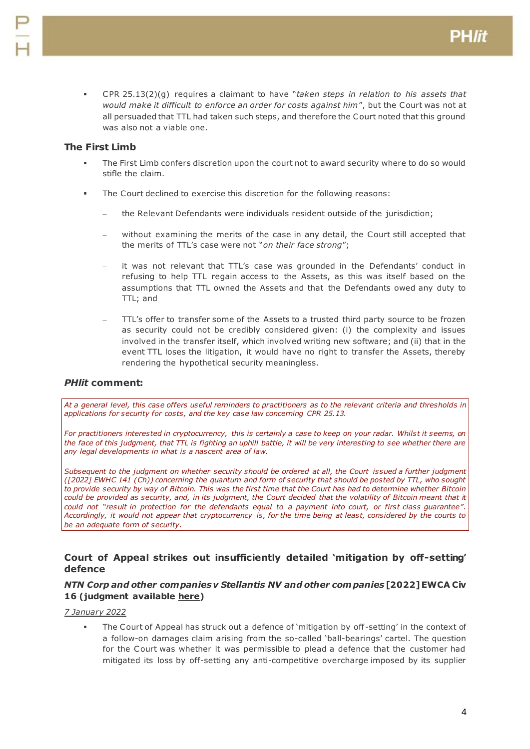CPR 25.13(2)(g) requires a claimant to have "*taken steps in relation to his assets that would make it difficult to enforce an order for costs against him*", but the Court was not at all persuaded that TTL had taken such steps, and therefore the Court noted that this ground was also not a viable one.

## **The First Limb**

- The First Limb confers discretion upon the court not to award security where to do so would stifle the claim.
- The Court declined to exercise this discretion for the following reasons:
	- the Relevant Defendants were individuals resident outside of the jurisdiction;
	- without examining the merits of the case in any detail, the Court still accepted that the merits of TTL's case were not "*on their face strong*";
	- it was not relevant that TTL's case was grounded in the Defendants' conduct in refusing to help TTL regain access to the Assets, as this was itself based on the assumptions that TTL owned the Assets and that the Defendants owed any duty to TTL; and
	- TTL's offer to transfer some of the Assets to a trusted third party source to be frozen as security could not be credibly considered given: (i) the complexity and issues involved in the transfer itself, which involved writing new software; and (ii) that in the event TTL loses the litigation, it would have no right to transfer the Assets, thereby rendering the hypothetical security meaningless.

## *PHlit* **comment:**

*At a general level, this case offers useful reminders to practitioners as to the relevant criteria and thresholds in applications for security for costs, and the key case law concerning CPR 25.13.*

For practitioners interested in cryptocurrency, this is certainly a case to keep on your radar. Whilst it seems, on *the face of this judgment, that TTL is fighting an uphill battle, it will be very interesting to see whether there are any legal developments in what is a nascent area of law.*

*Subsequent to the judgment on whether security should be ordered at all, the Court issued a further judgment ([2022] EWHC 141 (Ch)) concerning the quantum and form of security that should be posted by TTL, who sought*  to provide security by way of Bitcoin. This was the first time that the Court has had to determine whether Bitcoin could be provided as security, and, in its judgment, the Court decided that the volatility of Bitcoin meant that it *could not "result in protection for the defendants equal to a payment into court, or first class guarantee". Accordingly, it would not appear that cryptocurrency is, for the time being at least, considered by the courts to be an adequate form of security.*

## <span id="page-3-0"></span>**Court of Appeal strikes out insufficiently detailed 'mitigation by off-setting' defence**

## *NTN Corp and other companies v Stellantis NV and other companies* **[2022] EWCA Civ 16 (judgment available [here\)](https://www.bailii.org/ew/cases/EWCA/Civ/2022/16.html)**

## *7 January 2022*

 The Court of Appeal has struck out a defence of 'mitigation by off-setting' in the context of a follow-on damages claim arising from the so-called 'ball-bearings' cartel. The question for the Court was whether it was permissible to plead a defence that the customer had mitigated its loss by off-setting any anti-competitive overcharge imposed by its supplier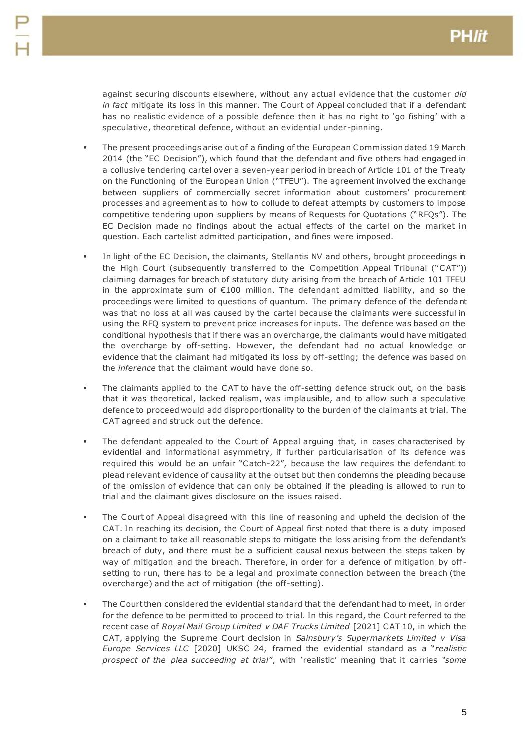against securing discounts elsewhere, without any actual evidence that the customer *did in fact* mitigate its loss in this manner. The Court of Appeal concluded that if a defendant has no realistic evidence of a possible defence then it has no right to 'go fishing' with a speculative, theoretical defence, without an evidential under -pinning.

- The present proceedings arise out of a finding of the European Commission dated 19 March 2014 (the "EC Decision"), which found that the defendant and five others had engaged in a collusive tendering cartel over a seven-year period in breach of Article 101 of the Treaty on the Functioning of the European Union ("TFEU"). The agreement involved the exchange between suppliers of commercially secret information about customers' procurement processes and agreement as to how to collude to defeat attempts by customers to impose competitive tendering upon suppliers by means of Requests for Quotations ("RFQs"). The EC Decision made no findings about the actual effects of the cartel on the market in question. Each cartelist admitted participation, and fines were imposed.
- In light of the EC Decision, the claimants, Stellantis NV and others, brought proceedings in the High Court (subsequently transferred to the Competition Appeal Tribunal ("CAT")) claiming damages for breach of statutory duty arising from the breach of Article 101 TFEU in the approximate sum of €100 million. The defendant admitted liability, and so the proceedings were limited to questions of quantum. The primary defence of the defenda nt was that no loss at all was caused by the cartel because the claimants were successful in using the RFQ system to prevent price increases for inputs. The defence was based on the conditional hypothesis that if there was an overcharge, the claimants would have mitigated the overcharge by off-setting. However, the defendant had no actual knowledge or evidence that the claimant had mitigated its loss by off-setting; the defence was based on the *inference* that the claimant would have done so.
- The claimants applied to the CAT to have the off-setting defence struck out, on the basis that it was theoretical, lacked realism, was implausible, and to allow such a speculative defence to proceed would add disproportionality to the burden of the claimants at trial. The CAT agreed and struck out the defence.
- The defendant appealed to the Court of Appeal arguing that, in cases characterised by evidential and informational asymmetry, if further particularisation of its defence was required this would be an unfair "Catch-22", because the law requires the defendant to plead relevant evidence of causality at the outset but then condemns the pleading because of the omission of evidence that can only be obtained if the pleading is allowed to run to trial and the claimant gives disclosure on the issues raised.
- The Court of Appeal disagreed with this line of reasoning and upheld the decision of the CAT. In reaching its decision, the Court of Appeal first noted that there is a duty imposed on a claimant to take all reasonable steps to mitigate the loss arising from the defendant's breach of duty, and there must be a sufficient causal nexus between the steps taken by way of mitigation and the breach. Therefore, in order for a defence of mitigation by off setting to run, there has to be a legal and proximate connection between the breach (the overcharge) and the act of mitigation (the off-setting).
- The Court then considered the evidential standard that the defendant had to meet, in order for the defence to be permitted to proceed to trial. In this regard, the Court referred to the recent case of *Royal Mail Group Limited v DAF Trucks Limited* [2021] CAT 10, in which the CAT, applying the Supreme Court decision in *Sainsbury's Supermarkets Limited v Visa Europe Services LLC* [2020] UKSC 24, framed the evidential standard as a "*realistic prospect of the plea succeeding at trial"*, with 'realistic' meaning that it carries *"some*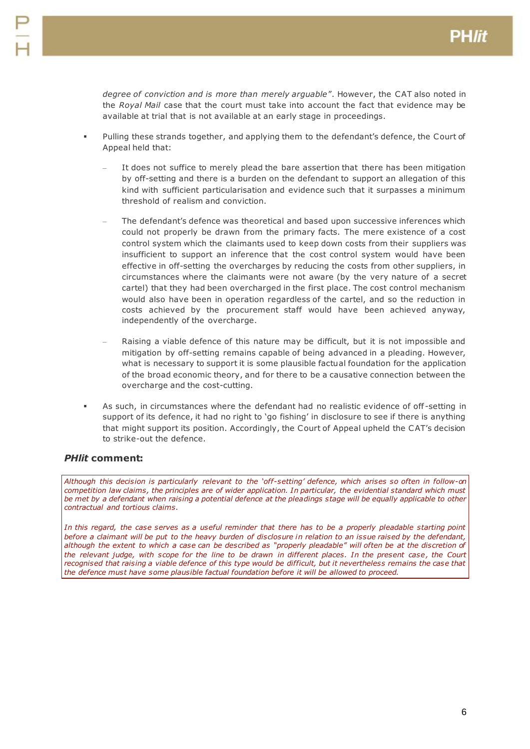*degree of conviction and is more than merely arguable*". However, the CAT also noted in the *Royal Mail* case that the court must take into account the fact that evidence may be available at trial that is not available at an early stage in proceedings.

- Pulling these strands together, and applying them to the defendant's defence, the Court of Appeal held that:
	- It does not suffice to merely plead the bare assertion that there has been mitigation by off-setting and there is a burden on the defendant to support an allegation of this kind with sufficient particularisation and evidence such that it surpasses a minimum threshold of realism and conviction.
	- The defendant's defence was theoretical and based upon successive inferences which could not properly be drawn from the primary facts. The mere existence of a cost control system which the claimants used to keep down costs from their suppliers was insufficient to support an inference that the cost control system would have been effective in off-setting the overcharges by reducing the costs from other suppliers, in circumstances where the claimants were not aware (by the very nature of a secret cartel) that they had been overcharged in the first place. The cost control mechanism would also have been in operation regardless of the cartel, and so the reduction in costs achieved by the procurement staff would have been achieved anyway, independently of the overcharge.
	- Raising a viable defence of this nature may be difficult, but it is not impossible and mitigation by off-setting remains capable of being advanced in a pleading. However, what is necessary to support it is some plausible factual foundation for the application of the broad economic theory, and for there to be a causative connection between the overcharge and the cost-cutting.
- As such, in circumstances where the defendant had no realistic evidence of off -setting in support of its defence, it had no right to 'go fishing' in disclosure to see if there is anything that might support its position. Accordingly, the Court of Appeal upheld the CAT's decision to strike-out the defence.

## *PHlit* **comment:**

*Although this decision is particularly relevant to the 'off-setting' defence, which arises so often in follow-on competition law claims, the principles are of wider application. In particular, the evidential standard which must* be met by a defendant when raising a potential defence at the pleadings stage will be equally applicable to other *contractual and tortious claims.*

*In this regard, the case serves as a useful reminder that there has to be a properly pleadable starting point before a claimant will be put to the heavy burden of disclosure in relation to an issue raised by the defendant, although the extent to which a case can be described as "properly pleadable" will often be at the discretion of the relevant judge, with scope for the line to be drawn in different places. In the present case, the Court recognised that raising a viable defence of this type would be difficult, but it nevertheless remains the case that the defence must have some plausible factual foundation before it will be allowed to proceed.*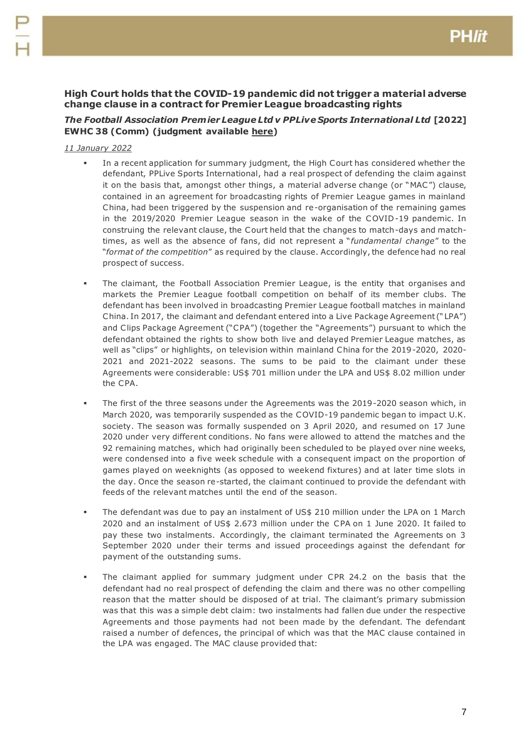## <span id="page-6-0"></span>**High Court holds that the COVID-19 pandemic did not trigger a material adverse change clause in a contract for Premier League broadcasting rights**

## *The Football Association Prem ier League Ltd v PPLive Sports International Ltd* **[2022] EWHC 38 (Comm) (judgment available [here\)](https://www.bailii.org/ew/cases/EWHC/Comm/2022/38.html)**

- In a recent application for summary judgment, the High Court has considered whether the defendant, PPLive Sports International, had a real prospect of defending the claim against it on the basis that, amongst other things, a material adverse change (or "MAC") clause, contained in an agreement for broadcasting rights of Premier League games in mainland China, had been triggered by the suspension and re-organisation of the remaining games in the 2019/2020 Premier League season in the wake of the COVID-19 pandemic. In construing the relevant clause, the Court held that the changes to match-days and matchtimes, as well as the absence of fans, did not represent a "*fundamental change*" to the "*format of the competition*" as required by the clause. Accordingly, the defence had no real prospect of success.
- The claimant, the Football Association Premier League, is the entity that organises and markets the Premier League football competition on behalf of its member clubs. The defendant has been involved in broadcasting Premier League football matches in mainland China. In 2017, the claimant and defendant entered into a Live Package Agreement ("LPA") and Clips Package Agreement ("CPA") (together the "Agreements") pursuant to which the defendant obtained the rights to show both live and delayed Premier League matches, as well as "clips" or highlights, on television within mainland China for the 2019-2020, 2020- 2021 and 2021-2022 seasons. The sums to be paid to the claimant under these Agreements were considerable: US\$ 701 million under the LPA and US\$ 8.02 million under the CPA.
- The first of the three seasons under the Agreements was the 2019-2020 season which, in March 2020, was temporarily suspended as the COVID-19 pandemic began to impact U.K. society. The season was formally suspended on 3 April 2020, and resumed on 17 June 2020 under very different conditions. No fans were allowed to attend the matches and the 92 remaining matches, which had originally been scheduled to be played over nine weeks, were condensed into a five week schedule with a consequent impact on the proportion of games played on weeknights (as opposed to weekend fixtures) and at later time slots in the day. Once the season re-started, the claimant continued to provide the defendant with feeds of the relevant matches until the end of the season.
- The defendant was due to pay an instalment of US\$ 210 million under the LPA on 1 March 2020 and an instalment of US\$ 2.673 million under the CPA on 1 June 2020. It failed to pay these two instalments. Accordingly, the claimant terminated the Agreements on 3 September 2020 under their terms and issued proceedings against the defendant for payment of the outstanding sums.
- The claimant applied for summary judgment under CPR 24.2 on the basis that the defendant had no real prospect of defending the claim and there was no other compelling reason that the matter should be disposed of at trial. The claimant's primary submission was that this was a simple debt claim: two instalments had fallen due under the respective Agreements and those payments had not been made by the defendant. The defendant raised a number of defences, the principal of which was that the MAC clause contained in the LPA was engaged. The MAC clause provided that: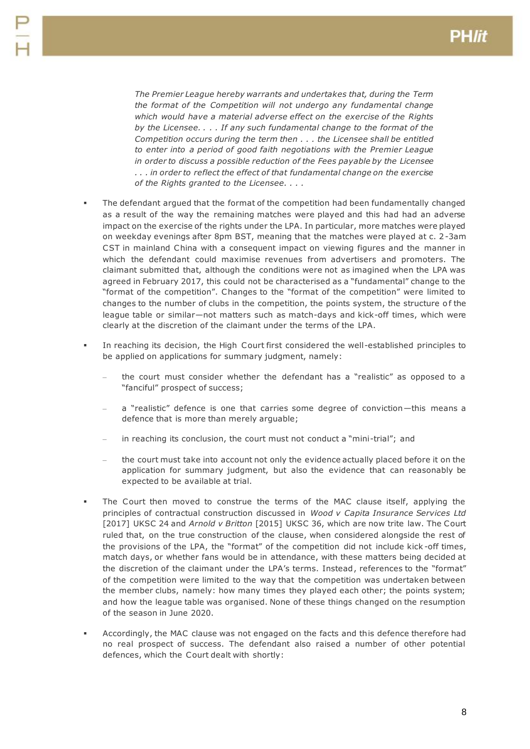*The Premier League hereby warrants and undertakes that, during the Term the format of the Competition will not undergo any fundamental change which would have a material adverse effect on the exercise of the Rights by the Licensee. . . . If any such fundamental change to the format of the Competition occurs during the term then . . . the Licensee shall be entitled to enter into a period of good faith negotiations with the Premier League in order to discuss a possible reduction of the Fees payable by the Licensee . . . in order to reflect the effect of that fundamental change on the exercise of the Rights granted to the Licensee. . . .*

- The defendant argued that the format of the competition had been fundamentally changed as a result of the way the remaining matches were played and this had had an adverse impact on the exercise of the rights under the LPA. In particular, more matches were played on weekday evenings after 8pm BST, meaning that the matches were played at c. 2-3am CST in mainland China with a consequent impact on viewing figures and the manner in which the defendant could maximise revenues from advertisers and promoters. The claimant submitted that, although the conditions were not as imagined when the LPA was agreed in February 2017, this could not be characterised as a "fundamental" change to the "format of the competition". Changes to the "format of the competition" were limited to changes to the number of clubs in the competition, the points system, the structure o f the league table or similar—not matters such as match-days and kick-off times, which were clearly at the discretion of the claimant under the terms of the LPA.
- In reaching its decision, the High Court first considered the well-established principles to be applied on applications for summary judgment, namely:
	- the court must consider whether the defendant has a "realistic" as opposed to a "fanciful" prospect of success;
	- a "realistic" defence is one that carries some degree of conviction-this means a defence that is more than merely arguable;
	- in reaching its conclusion, the court must not conduct a "mini-trial"; and
	- the court must take into account not only the evidence actually placed before it on the application for summary judgment, but also the evidence that can reasonably be expected to be available at trial.
- The Court then moved to construe the terms of the MAC clause itself, applying the principles of contractual construction discussed in *Wood v Capita Insurance Services Ltd* [2017] UKSC 24 and *Arnold v Britton* [2015] UKSC 36, which are now trite law. The Court ruled that, on the true construction of the clause, when considered alongside the rest of the provisions of the LPA, the "format" of the competition did not include kick -off times, match days, or whether fans would be in attendance, with these matters being decided at the discretion of the claimant under the LPA's terms. Instead, references to the "format" of the competition were limited to the way that the competition was undertaken between the member clubs, namely: how many times they played each other; the points system; and how the league table was organised. None of these things changed on the resumption of the season in June 2020.
- Accordingly, the MAC clause was not engaged on the facts and this defence therefore had no real prospect of success. The defendant also raised a number of other potential defences, which the Court dealt with shortly: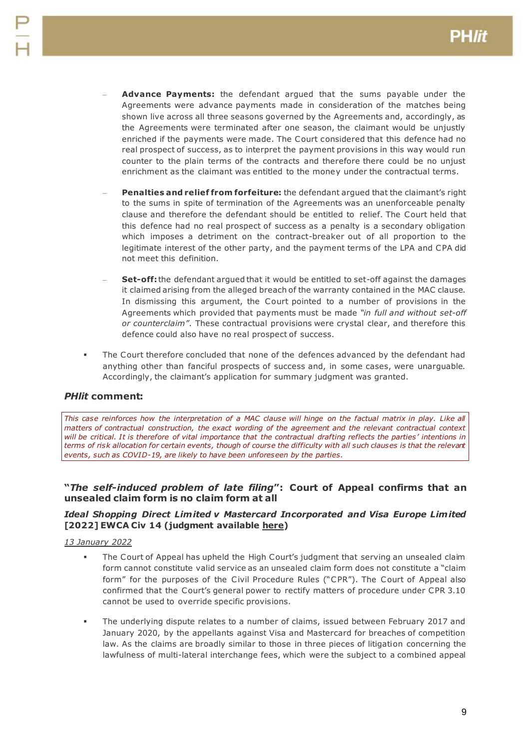- **Advance Payments:** the defendant argued that the sums payable under the Agreements were advance payments made in consideration of the matches being shown live across all three seasons governed by the Agreements and, accordingly, as the Agreements were terminated after one season, the claimant would be unjustly enriched if the payments were made. The Court considered that this defence had no real prospect of success, as to interpret the payment provisions in this way would run counter to the plain terms of the contracts and therefore there could be no unjust enrichment as the claimant was entitled to the money under the contractual terms.
- **Penalties and relief from forfeiture:** the defendant argued that the claimant's right to the sums in spite of termination of the Agreements was an unenforceable penalty clause and therefore the defendant should be entitled to relief. The Court held that this defence had no real prospect of success as a penalty is a secondary obligation which imposes a detriment on the contract-breaker out of all proportion to the legitimate interest of the other party, and the payment terms of the LPA and CPA did not meet this definition.
- **Set-off:** the defendant argued that it would be entitled to set-off against the damages it claimed arising from the alleged breach of the warranty contained in the MAC clause. In dismissing this argument, the Court pointed to a number of provisions in the Agreements which provided that payments must be made *"in full and without set-off or counterclaim"*. These contractual provisions were crystal clear, and therefore this defence could also have no real prospect of success.
- The Court therefore concluded that none of the defences advanced by the defendant had anything other than fanciful prospects of success and, in some cases, were unarguable. Accordingly, the claimant's application for summary judgment was granted.

## *PHlit* **comment:**

This case reinforces how the interpretation of a MAC clause will hinge on the factual matrix in play. Like all *matters of contractual construction, the exact wording of the agreement and the relevant contractual context will be critical. It is therefore of vital importance that the contractual drafting reflects the parties' intentions in terms of risk allocation for certain events, though of course the difficulty with all such clauses is that the relevant events, such as COVID-19, are likely to have been unforeseen by the parties.*

## <span id="page-8-0"></span>**"***The self-induced problem of late filing***": Court of Appeal confirms that an unsealed claim form is no claim form at all**

## *Ideal Shopping Direct Lim ited v Mastercard Incorporated and Visa Europe Lim ited*  **[2022] EWCA Civ 14 (judgment available [here\)](https://www.bailii.org/ew/cases/EWCA/Civ/2022/14.html)**

- The Court of Appeal has upheld the High Court's judgment that serving an unsealed claim form cannot constitute valid service as an unsealed claim form does not constitute a "claim form" for the purposes of the Civil Procedure Rules ("CPR"). The Court of Appeal also confirmed that the Court's general power to rectify matters of procedure under CPR 3.10 cannot be used to override specific provisions.
- The underlying dispute relates to a number of claims, issued between February 2017 and January 2020, by the appellants against Visa and Mastercard for breaches of competition law. As the claims are broadly similar to those in three pieces of litigation concerning the lawfulness of multi-lateral interchange fees, which were the subject to a combined appeal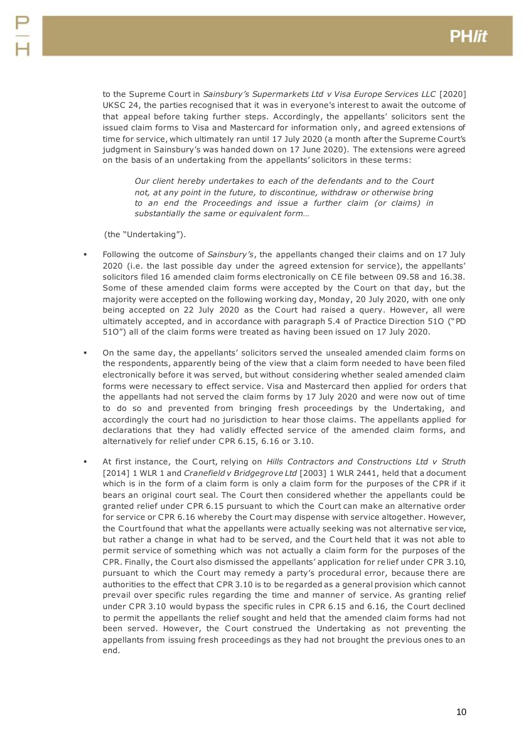to the Supreme Court in *Sainsbury's Supermarkets Ltd v Visa Europe Services LLC* [2020] UKSC 24, the parties recognised that it was in everyone's interest to await the outcome of that appeal before taking further steps. Accordingly, the appellants' solicitors sent the issued claim forms to Visa and Mastercard for information only, and agreed extensions of time for service, which ultimately ran until 17 July 2020 (a month after the Supreme Court's judgment in Sainsbury's was handed down on 17 June 2020). The extensions were agreed on the basis of an undertaking from the appellants' solicitors in these terms:

*Our client hereby undertakes to each of the defendants and to the Court not, at any point in the future, to discontinue, withdraw or otherwise bring to an end the Proceedings and issue a further claim (or claims) in substantially the same or equivalent form…* 

(the "Undertaking").

- Following the outcome of *Sainsbury's*, the appellants changed their claims and on 17 July 2020 (i.e. the last possible day under the agreed extension for service), the appellants' solicitors filed 16 amended claim forms electronically on CE file between 09.58 and 16.38. Some of these amended claim forms were accepted by the Court on that day, but the majority were accepted on the following working day, Monday, 20 July 2020, with one only being accepted on 22 July 2020 as the Court had raised a query. However, all were ultimately accepted, and in accordance with paragraph 5.4 of Practice Direction 51O ("PD 51O") all of the claim forms were treated as having been issued on 17 July 2020.
- On the same day, the appellants' solicitors served the unsealed amended claim forms on the respondents, apparently being of the view that a claim form needed to have been filed electronically before it was served, but without considering whether sealed amended claim forms were necessary to effect service. Visa and Mastercard then applied for orders that the appellants had not served the claim forms by 17 July 2020 and were now out of time to do so and prevented from bringing fresh proceedings by the Undertaking, and accordingly the court had no jurisdiction to hear those claims. The appellants applied for declarations that they had validly effected service of the amended claim forms, and alternatively for relief under CPR 6.15, 6.16 or 3.10.
- At first instance, the Court, relying on *Hills Contractors and Constructions Ltd v Struth* [2014] 1 WLR 1 and *Cranefield v Bridgegrove Ltd* [2003] 1 WLR 2441, held that a document which is in the form of a claim form is only a claim form for the purposes of the CPR if it bears an original court seal. The Court then considered whether the appellants could be granted relief under CPR 6.15 pursuant to which the Court can make an alternative order for service or CPR 6.16 whereby the Court may dispense with service altogether. However, the Court found that what the appellants were actually seeking was not alternative service, but rather a change in what had to be served, and the Court held that it was not able to permit service of something which was not actually a claim form for the purposes of the CPR. Finally, the Court also dismissed the appellants' application for relief under CPR 3.10, pursuant to which the Court may remedy a party's procedural error, because there are authorities to the effect that CPR 3.10 is to be regarded as a general provision which cannot prevail over specific rules regarding the time and manner of service. As granting relief under CPR 3.10 would bypass the specific rules in CPR 6.15 and 6.16, the Court declined to permit the appellants the relief sought and held that the amended claim forms had not been served. However, the Court construed the Undertaking as not preventing the appellants from issuing fresh proceedings as they had not brought the previous ones to an end.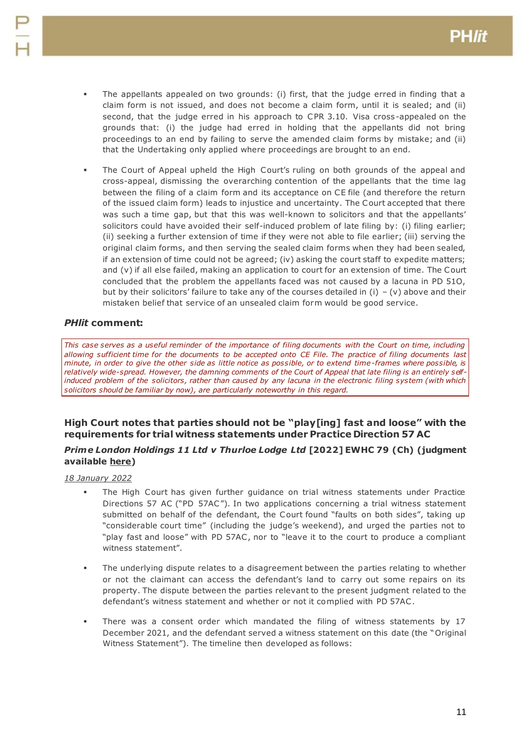- The appellants appealed on two grounds: (i) first, that the judge erred in finding that a claim form is not issued, and does not become a claim form, until it is sealed; and (ii) second, that the judge erred in his approach to CPR 3.10. Visa cross -appealed on the grounds that: (i) the judge had erred in holding that the appellants did not bring proceedings to an end by failing to serve the amended claim forms by mistake; and (ii) that the Undertaking only applied where proceedings are brought to an end.
- The Court of Appeal upheld the High Court's ruling on both grounds of the appeal and cross-appeal, dismissing the overarching contention of the appellants that the time lag between the filing of a claim form and its acceptance on CE file (and therefore the return of the issued claim form) leads to injustice and uncertainty. The Court accepted that there was such a time gap, but that this was well-known to solicitors and that the appellants' solicitors could have avoided their self-induced problem of late filing by: (i) filing earlier; (ii) seeking a further extension of time if they were not able to file earlier; (iii) serving the original claim forms, and then serving the sealed claim forms when they had been sealed, if an extension of time could not be agreed; (iv) asking the court staff to expedite matters; and (v) if all else failed, making an application to court for an extension of time. The Court concluded that the problem the appellants faced was not caused by a lacuna in PD 51O, but by their solicitors' failure to take any of the courses detailed in (i) – (v) above and their mistaken belief that service of an unsealed claim form would be good service.

## *PHlit* **comment:**

*This case serves as a useful reminder of the importance of filing documents with the Court on time, including allowing sufficient time for the documents to be accepted onto CE File. The practice of filing documents last minute, in order to give the other side as little notice as possible, or to extend time-frames where possible, is relatively wide-spread. However, the damning comments of the Court of Appeal that late filing is an entirely selfinduced problem of the solicitors, rather than caused by any lacuna in the electronic filing system (with which solicitors should be familiar by now), are particularly noteworthy in this regard.*

## <span id="page-10-0"></span>**High Court notes that parties should not be "play[ing] fast and loose" with the requirements for trial witness statements under Practice Direction 57 AC**

## *Prime London Holdings 11 Ltd v Thurloe Lodge Ltd* **[2022] EWHC 79 (Ch) (judgment available [here\)](https://www.bailii.org/ew/cases/EWHC/Ch/2022/79.html)**

- The High Court has given further guidance on trial witness statements under Practice Directions 57 AC ("PD 57AC"). In two applications concerning a trial witness statement submitted on behalf of the defendant, the Court found "faults on both sides", taking up "considerable court time" (including the judge's weekend), and urged the parties not to "play fast and loose" with PD 57AC , nor to "leave it to the court to produce a compliant witness statement".
- The underlying dispute relates to a disagreement between the parties relating to whether or not the claimant can access the defendant's land to carry out some repairs on its property. The dispute between the parties relevant to the present judgment related to the defendant's witness statement and whether or not it complied with PD 57AC .
- There was a consent order which mandated the filing of witness statements by 17 December 2021, and the defendant served a witness statement on this date (the "Original Witness Statement"). The timeline then developed as follows: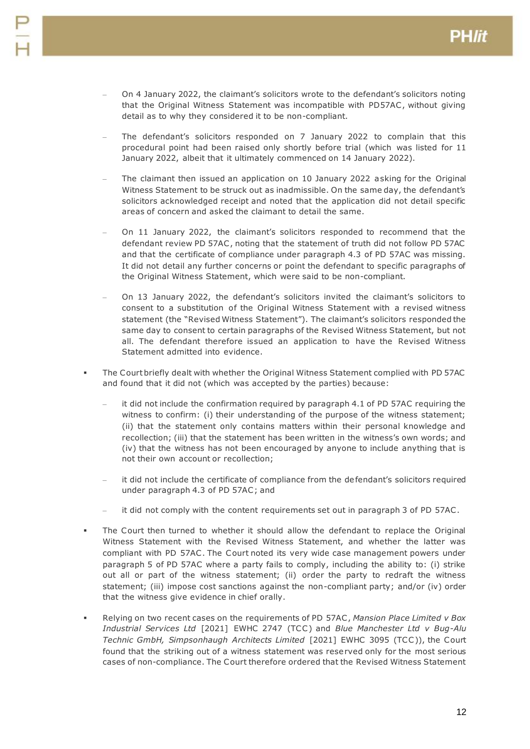- On 4 January 2022, the claimant's solicitors wrote to the defendant's solicitors noting that the Original Witness Statement was incompatible with PD57AC , without giving detail as to why they considered it to be non-compliant.
- The defendant's solicitors responded on 7 January 2022 to complain that this procedural point had been raised only shortly before trial (which was listed for 11 January 2022, albeit that it ultimately commenced on 14 January 2022).
- The claimant then issued an application on 10 January 2022 asking for the Original Witness Statement to be struck out as inadmissible. On the same day, the defendant's solicitors acknowledged receipt and noted that the application did not detail specific areas of concern and asked the claimant to detail the same.
- On 11 January 2022, the claimant's solicitors responded to recommend that the defendant review PD 57AC , noting that the statement of truth did not follow PD 57AC and that the certificate of compliance under paragraph 4.3 of PD 57AC was missing. It did not detail any further concerns or point the defendant to specific paragraphs of the Original Witness Statement, which were said to be non-compliant.
- On 13 January 2022, the defendant's solicitors invited the claimant's solicitors to consent to a substitution of the Original Witness Statement with a revised witness statement (the "Revised Witness Statement"). The claimant's solicitors responded the same day to consent to certain paragraphs of the Revised Witness Statement, but not all. The defendant therefore issued an application to have the Revised Witness Statement admitted into evidence.
- The Court briefly dealt with whether the Original Witness Statement complied with PD 57AC and found that it did not (which was accepted by the parties) because:
	- it did not include the confirmation required by paragraph 4.1 of PD 57AC requiring the witness to confirm: (i) their understanding of the purpose of the witness statement; (ii) that the statement only contains matters within their personal knowledge and recollection; (iii) that the statement has been written in the witness's own words; and (iv) that the witness has not been encouraged by anyone to include anything that is not their own account or recollection;
	- it did not include the certificate of compliance from the defendant's solicitors required under paragraph 4.3 of PD 57AC ; and
	- it did not comply with the content requirements set out in paragraph 3 of PD 57AC.
- The Court then turned to whether it should allow the defendant to replace the Original Witness Statement with the Revised Witness Statement, and whether the latter was compliant with PD 57AC . The Court noted its very wide case management powers under paragraph 5 of PD 57AC where a party fails to comply, including the ability to: (i) strike out all or part of the witness statement; (ii) order the party to redraft the witness statement; (iii) impose cost sanctions against the non-compliant party; and/or (iv) order that the witness give evidence in chief orally.
- Relying on two recent cases on the requirements of PD 57AC , *Mansion Place Limited v Box Industrial Services Ltd* [2021] EWHC 2747 (TCC ) and *Blue Manchester Ltd v Bug-Alu Technic GmbH, Simpsonhaugh Architects Limited* [2021] EWHC 3095 (TCC )), the Court found that the striking out of a witness statement was reserved only for the most serious cases of non-compliance. The Court therefore ordered that the Revised Witness Statement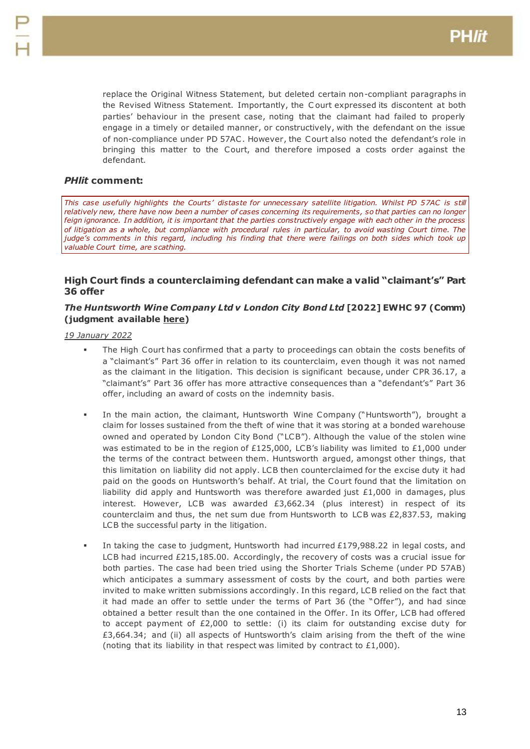replace the Original Witness Statement, but deleted certain non-compliant paragraphs in the Revised Witness Statement. Importantly, the C ourt expressed its discontent at both parties' behaviour in the present case, noting that the claimant had failed to properly engage in a timely or detailed manner, or constructively, with the defendant on the issue of non-compliance under PD 57AC . However, the Court also noted the defendant's role in bringing this matter to the Court, and therefore imposed a costs order against the defendant.

## *PHlit* **comment:**

*This case usefully highlights the Courts' distaste for unnecessary satellite litigation. Whilst PD 57AC is still relatively new, there have now been a number of cases concerning its requirements, so that parties can no longer feign ignorance. In addition, it is important that the parties constructively engage with each other in the process of litigation as a whole, but compliance with procedural rules in particular, to avoid wasting Court time. The judge's comments in this regard, including his finding that there were failings on both sides which took up valuable Court time, are scathing.*

# <span id="page-12-0"></span>**High Court finds a counterclaiming defendant can make a valid "claimant's" Part 36 offer**

## *The Huntsworth Wine Company Ltd v London City Bond Ltd* **[2022] EWHC 97 (Comm) (judgment available [here\)](https://www.bailii.org/ew/cases/EWHC/Comm/2022/97.html)**

- The High Court has confirmed that a party to proceedings can obtain the costs benefits of a "claimant's" Part 36 offer in relation to its counterclaim, even though it was not named as the claimant in the litigation. This decision is significant because, under CPR 36.17, a "claimant's" Part 36 offer has more attractive consequences than a "defendant's" Part 36 offer, including an award of costs on the indemnity basis.
- In the main action, the claimant, Huntsworth Wine Company ("Huntsworth"), brought a claim for losses sustained from the theft of wine that it was storing at a bonded warehouse owned and operated by London City Bond ("LCB"). Although the value of the stolen wine was estimated to be in the region of £125,000, LCB's liability was limited to £1,000 under the terms of the contract between them. Huntsworth argued, amongst other things, that this limitation on liability did not apply. LCB then counterclaimed for the excise duty it had paid on the goods on Huntsworth's behalf. At trial, the Court found that the limitation on liability did apply and Huntsworth was therefore awarded just  $£1,000$  in damages, plus interest. However, LCB was awarded  $£3,662.34$  (plus interest) in respect of its counterclaim and thus, the net sum due from Huntsworth to LCB was £2,837.53, making LCB the successful party in the litigation.
- In taking the case to judgment, Huntsworth had incurred £179,988.22 in legal costs, and LCB had incurred £215,185.00. Accordingly, the recovery of costs was a crucial issue for both parties. The case had been tried using the Shorter Trials Scheme (under PD 57AB) which anticipates a summary assessment of costs by the court, and both parties were invited to make written submissions accordingly. In this regard, LCB relied on the fact that it had made an offer to settle under the terms of Part 36 (the "Offer"), and had since obtained a better result than the one contained in the Offer. In its Offer, LCB had offered to accept payment of £2,000 to settle: (i) its claim for outstanding excise duty for £3,664.34; and (ii) all aspects of Huntsworth's claim arising from the theft of the wine (noting that its liability in that respect was limited by contract to £1,000).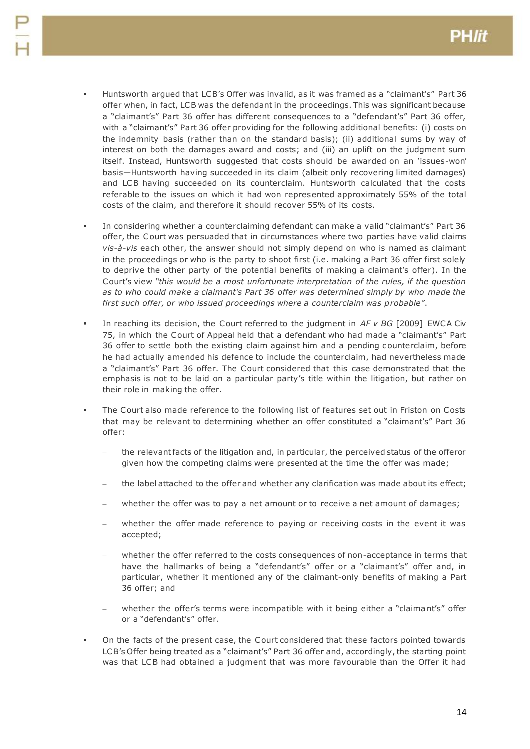- Huntsworth argued that LCB's Offer was invalid, as it was framed as a "claimant's" Part 36 offer when, in fact, LCB was the defendant in the proceedings. This was significant because a "claimant's" Part 36 offer has different consequences to a "defendant's" Part 36 offer, with a "claimant's" Part 36 offer providing for the following additional benefits: (i) costs on the indemnity basis (rather than on the standard basis); (ii) additional sums by way of interest on both the damages award and costs; and (iii) an uplift on the judgment sum itself. Instead, Huntsworth suggested that costs should be awarded on an 'issues-won' basis—Huntsworth having succeeded in its claim (albeit only recovering limited damages) and LCB having succeeded on its counterclaim. Huntsworth calculated that the costs referable to the issues on which it had won represented approximately 55% of the total costs of the claim, and therefore it should recover 55% of its costs.
- In considering whether a counterclaiming defendant can make a valid "claimant's" Part 36 offer, the Court was persuaded that in circumstances where two parties have valid claims *vis-à-vis* each other, the answer should not simply depend on who is named as claimant in the proceedings or who is the party to shoot first (i.e. making a Part 36 offer first solely to deprive the other party of the potential benefits of making a claimant's offer). In the Court's view *"this would be a most unfortunate interpretation of the rules, if the question as to who could make a claimant's Part 36 offer was determined simply by who made the first such offer, or who issued proceedings where a counterclaim was probable"*.
- In reaching its decision, the Court referred to the judgment in *AF v BG* [2009] EWCA Civ 75, in which the Court of Appeal held that a defendant who had made a "claimant's" Part 36 offer to settle both the existing claim against him and a pending counterclaim, before he had actually amended his defence to include the counterclaim, had nevertheless made a "claimant's" Part 36 offer. The Court considered that this case demonstrated that the emphasis is not to be laid on a particular party's title within the litigation, but rather on their role in making the offer.
- The Court also made reference to the following list of features set out in Friston on Costs that may be relevant to determining whether an offer constituted a "claimant's" Part 36 offer:
	- the relevant facts of the litigation and, in particular, the perceived status of the offeror given how the competing claims were presented at the time the offer was made;
	- the label attached to the offer and whether any clarification was made about its effect;
	- whether the offer was to pay a net amount or to receive a net amount of damages;
	- whether the offer made reference to paying or receiving costs in the event it was accepted;
	- whether the offer referred to the costs consequences of non-acceptance in terms that have the hallmarks of being a "defendant's" offer or a "claimant's" offer and, in particular, whether it mentioned any of the claimant-only benefits of making a Part 36 offer; and
	- whether the offer's terms were incompatible with it being either a "claimant's" offer or a "defendant's" offer.
- On the facts of the present case, the Court considered that these factors pointed towards LCB's Offer being treated as a "claimant's" Part 36 offer and, accordingly, the starting point was that LCB had obtained a judgment that was more favourable than the Offer it had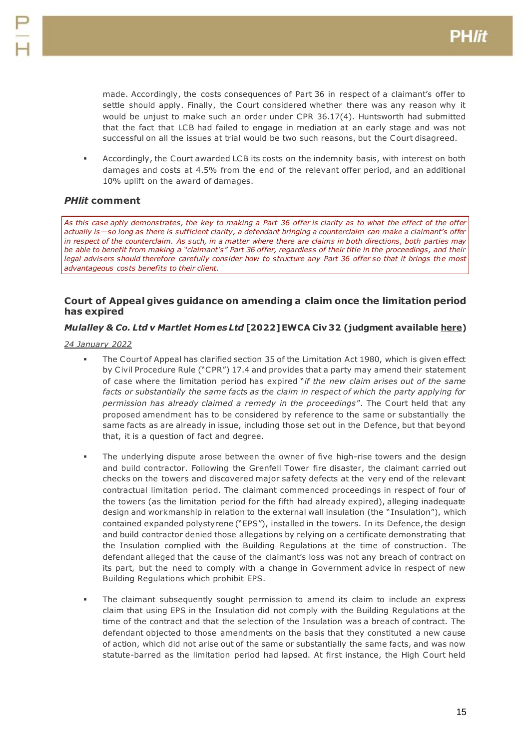made. Accordingly, the costs consequences of Part 36 in respect of a claimant's offer to settle should apply. Finally, the Court considered whether there was any reason why it would be unjust to make such an order under CPR 36.17(4). Huntsworth had submitted that the fact that LCB had failed to engage in mediation at an early stage and was not successful on all the issues at trial would be two such reasons, but the Court disagreed.

 Accordingly, the Court awarded LCB its costs on the indemnity basis, with interest on both damages and costs at 4.5% from the end of the relevant offer period, and an additional 10% uplift on the award of damages.

## *PHlit* **comment**

*As this case aptly demonstrates, the key to making a Part 36 offer is clarity as to what the effect of the offer actually is—so long as there is sufficient clarity, a defendant bringing a counterclaim can make a claimant's offer*  in respect of the counterclaim. As such, in a matter where there are claims in both directions, both parties may *be able to benefit from making a "claimant's" Part 36 offer, regardless of their title in the proceedings, and their legal advisers should therefore carefully consider how to structure any Part 36 offer so that it brings the most advantageous costs benefits to their client.*

## <span id="page-14-0"></span>**Court of Appeal gives guidance on amending a claim once the limitation period has expired**

## *Mulalley & Co. Ltd v Martlet Homes Ltd* **[2022] EWCA Civ 32 (judgment availabl[e here\)](https://www.bailii.org/ew/cases/EWCA/Civ/2022/32.html)**

- The Court of Appeal has clarified section 35 of the Limitation Act 1980, which is given effect by Civil Procedure Rule ("CPR") 17.4 and provides that a party may amend their statement of case where the limitation period has expired "*if the new claim arises out of the same facts or substantially the same facts as the claim in respect of which the party applying for permission has already claimed a remedy in the proceedings*". The Court held that any proposed amendment has to be considered by reference to the same or substantially the same facts as are already in issue, including those set out in the Defence, but that beyond that, it is a question of fact and degree.
- The underlying dispute arose between the owner of five high-rise towers and the design and build contractor. Following the Grenfell Tower fire disaster, the claimant carried out checks on the towers and discovered major safety defects at the very end of the relevant contractual limitation period. The claimant commenced proceedings in respect of four of the towers (as the limitation period for the fifth had already expired), alleging inadequate design and workmanship in relation to the external wall insulation (the "Insulation"), which contained expanded polystyrene ("EPS"), installed in the towers. In its Defence, the design and build contractor denied those allegations by relying on a certificate demonstrating that the Insulation complied with the Building Regulations at the time of construction. The defendant alleged that the cause of the claimant's loss was not any breach of contract on its part, but the need to comply with a change in Government advice in respect of new Building Regulations which prohibit EPS.
- The claimant subsequently sought permission to amend its claim to include an express claim that using EPS in the Insulation did not comply with the Building Regulations at the time of the contract and that the selection of the Insulation was a breach of contract. The defendant objected to those amendments on the basis that they constituted a new cause of action, which did not arise out of the same or substantially the same facts, and was now statute-barred as the limitation period had lapsed. At first instance, the High Court held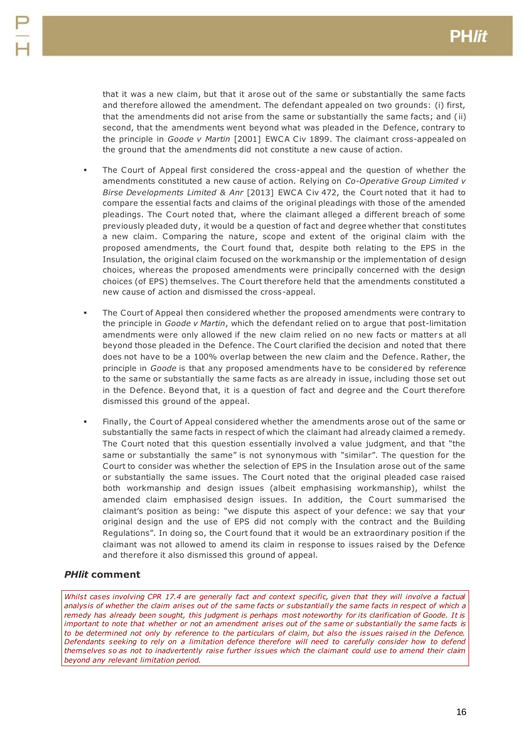that it was a new claim, but that it arose out of the same or substantially the same facts and therefore allowed the amendment. The defendant appealed on two grounds: (i) first, that the amendments did not arise from the same or substantially the same facts; and ( ii) second, that the amendments went beyond what was pleaded in the Defence, contrary to the principle in *Goode v Martin* [2001] EWCA Civ 1899. The claimant cross-appealed on the ground that the amendments did not constitute a new cause of action.

- The Court of Appeal first considered the cross-appeal and the question of whether the amendments constituted a new cause of action. Relying on *Co-Operative Group Limited v Birse Developments Limited & Anr* [2013] EWCA Civ 472, the Court noted that it had to compare the essential facts and claims of the original pleadings with those of the amended pleadings. The Court noted that, where the claimant alleged a different breach of some previously pleaded duty, it would be a question of fact and degree whether that constitutes a new claim. Comparing the nature, scope and extent of the original claim with the proposed amendments, the Court found that, despite both relating to the EPS in the Insulation, the original claim focused on the workmanship or the implementation of design choices, whereas the proposed amendments were principally concerned with the design choices (of EPS) themselves. The Court therefore held that the amendments constituted a new cause of action and dismissed the cross-appeal.
- The Court of Appeal then considered whether the proposed amendments were contrary to the principle in *Goode v Martin*, which the defendant relied on to argue that post-limitation amendments were only allowed if the new claim relied on no new facts or matters at all beyond those pleaded in the Defence. The Court clarified the decision and noted that there does not have to be a 100% overlap between the new claim and the Defence. Rather, the principle in *Goode* is that any proposed amendments have to be considered by reference to the same or substantially the same facts as are already in issue, including those set out in the Defence. Beyond that, it is a question of fact and degree and the Court therefore dismissed this ground of the appeal.
- Finally, the Court of Appeal considered whether the amendments arose out of the same or substantially the same facts in respect of which the claimant had already claimed a remedy. The Court noted that this question essentially involved a value judgment, and that "the same or substantially the same" is not synonymous with "similar". The question for the Court to consider was whether the selection of EPS in the Insulation arose out of the same or substantially the same issues. The Court noted that the original pleaded case raised both workmanship and design issues (albeit emphasising workmanship), whilst the amended claim emphasised design issues. In addition, the Court summarised the claimant's position as being: "we dispute this aspect of your defence: we say that your original design and the use of EPS did not comply with the contract and the Building Regulations". In doing so, the Court found that it would be an extraordinary position if the claimant was not allowed to amend its claim in response to issues raised by the Defence and therefore it also dismissed this ground of appeal.

## *PHlit* **comment**

*Whilst cases involving CPR 17.4 are generally fact and context specific, given that they will involve a factual analysis of whether the claim arises out of the same facts or substantially the same facts in respect of which a*  remedy has already been sought, this judgment is perhaps most noteworthy for its clarification of Goode. It is *important to note that whether or not an amendment arises out of the same or substantially the same facts is to be determined not only by reference to the particulars of claim, but also the issues raised in the Defence. Defendants seeking to rely on a limitation defence therefore will need to carefully consider how to defend themselves so as not to inadvertently raise further issues which the claimant could use to amend their claim beyond any relevant limitation period.*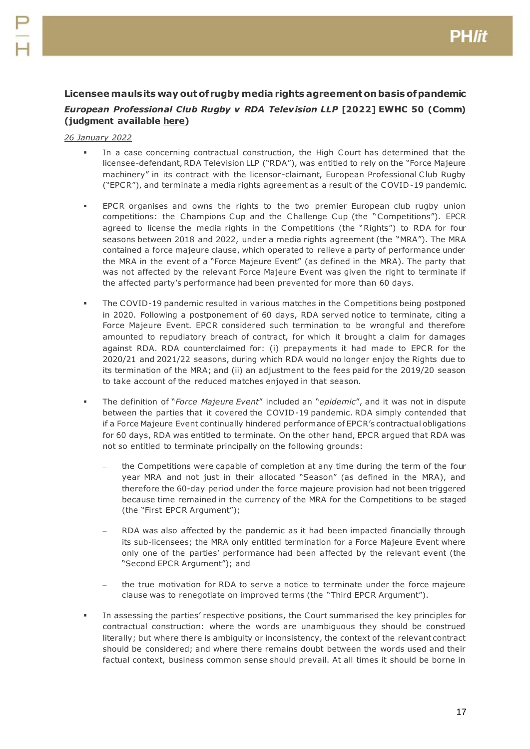# <span id="page-16-0"></span>**Licensee mauls its way out of rugby media rights agreement on basis of pandemic** *European Professional Club Rugby v RDA Telev ision LLP* **[2022] EWHC 50 (Comm) (judgment available [here\)](https://www.bailii.org/ew/cases/EWHC/Comm/2022/50.html)**

- In a case concerning contractual construction, the High Court has determined that the licensee-defendant, RDA Television LLP ("RDA"), was entitled to rely on the "Force Majeure machinery" in its contract with the licensor-claimant, European Professional Club Rugby ("EPCR"), and terminate a media rights agreement as a result of the COVID-19 pandemic.
- EPCR organises and owns the rights to the two premier European club rugby union competitions: the Champions Cup and the Challenge Cup (the "Competitions"). EPCR agreed to license the media rights in the Competitions (the "Rights") to RDA for four seasons between 2018 and 2022, under a media rights agreement (the "MRA"). The MRA contained a force majeure clause, which operated to relieve a party of performance under the MRA in the event of a "Force Majeure Event" (as defined in the MRA). The party that was not affected by the relevant Force Majeure Event was given the right to terminate if the affected party's performance had been prevented for more than 60 days.
- The COVID-19 pandemic resulted in various matches in the Competitions being postponed in 2020. Following a postponement of 60 days, RDA served notice to terminate, citing a Force Majeure Event. EPCR considered such termination to be wrongful and therefore amounted to repudiatory breach of contract, for which it brought a claim for damages against RDA. RDA counterclaimed for: (i) prepayments it had made to EPCR for the 2020/21 and 2021/22 seasons, during which RDA would no longer enjoy the Rights due to its termination of the MRA; and (ii) an adjustment to the fees paid for the 2019/20 season to take account of the reduced matches enjoyed in that season.
- The definition of "*Force Majeure Event*" included an "*epidemic*", and it was not in dispute between the parties that it covered the COVID-19 pandemic. RDA simply contended that if a Force Majeure Event continually hindered performance of EPCR's contractual obligations for 60 days, RDA was entitled to terminate. On the other hand, EPCR argued that RDA was not so entitled to terminate principally on the following grounds:
	- the Competitions were capable of completion at any time during the term of the four year MRA and not just in their allocated "Season" (as defined in the MRA), and therefore the 60-day period under the force majeure provision had not been triggered because time remained in the currency of the MRA for the Competitions to be staged (the "First EPCR Argument");
	- RDA was also affected by the pandemic as it had been impacted financially through its sub-licensees; the MRA only entitled termination for a Force Majeure Event where only one of the parties' performance had been affected by the relevant event (the "Second EPCR Argument"); and
	- the true motivation for RDA to serve a notice to terminate under the force majeure clause was to renegotiate on improved terms (the "Third EPCR Argument").
- In assessing the parties' respective positions, the Court summarised the key principles for contractual construction: where the words are unambiguous they should be construed literally; but where there is ambiguity or inconsistency, the context of the relevant contract should be considered; and where there remains doubt between the words used and their factual context, business common sense should prevail. At all times it should be borne in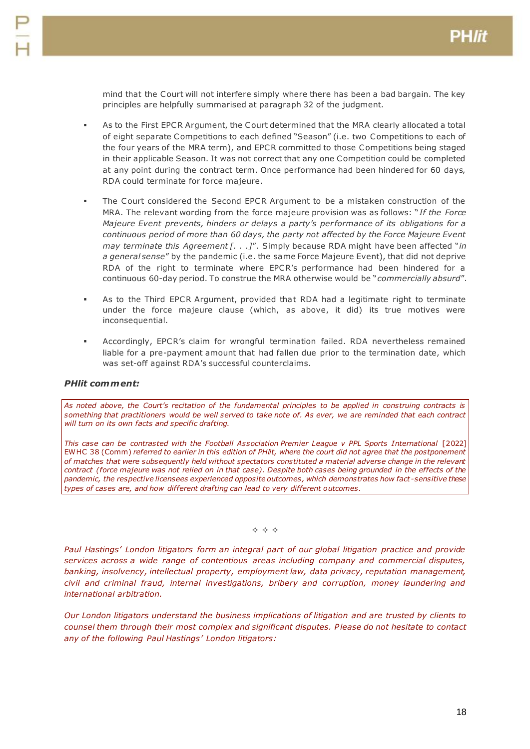mind that the Court will not interfere simply where there has been a bad bargain. The key principles are helpfully summarised at paragraph 32 of the judgment.

- As to the First EPCR Argument, the Court determined that the MRA clearly allocated a total of eight separate Competitions to each defined "Season" (i.e. two Competitions to each of the four years of the MRA term), and EPCR committed to those Competitions being staged in their applicable Season. It was not correct that any one Competition could be completed at any point during the contract term. Once performance had been hindered for 60 days, RDA could terminate for force majeure.
- The Court considered the Second EPCR Argument to be a mistaken construction of the MRA. The relevant wording from the force majeure provision was as follows: "*If the Force Majeure Event prevents, hinders or delays a party's per formance of its obligations for a continuous period of more than 60 days, the party not affected by the Force Majeure Event may terminate this Agreement [. . .]*". Simply because RDA might have been affected "*in a general sense*" by the pandemic (i.e. the same Force Majeure Event), that did not deprive RDA of the right to terminate where EPCR's performance had been hindered for a continuous 60-day period. To construe the MRA otherwise would be "*commercially absurd*".
- As to the Third EPCR Argument, provided that RDA had a legitimate right to terminate under the force majeure clause (which, as above, it did) its true motives were inconsequential.
- Accordingly, EPCR's claim for wrongful termination failed. RDA nevertheless remained liable for a pre-payment amount that had fallen due prior to the termination date, which was set-off against RDA's successful counterclaims.

## *PHlit comment:*

*As noted above, the Court's recitation of the fundamental principles to be applied in construing contracts is something that practitioners would be well served to take note of. As ever, we are reminded that each contract will turn on its own facts and specific drafting.*

*This case can be contrasted with the Football Association Premier League v PPL Sports International* [2022] EWHC 38 (Comm) *referred to earlier in this edition of PHlit, where the court did not agree that the postponement of matches that were subsequently held without spectators constituted a material adverse change in the relevant contract (force majeure was not relied on in that case). Despite both cases being grounded in the effects of the pandemic, the respective licensees experienced opposite outcomes, which demonstrates how fact -sensitive these types of cases are, and how different drafting can lead to very different outcomes.*

 $\Leftrightarrow$   $\Leftrightarrow$   $\Leftrightarrow$ 

*Paul Hastings' London litigators form an integral part of our global litigation practice and provide services across a wide range of contentious areas including company and commercial disputes, banking, insolvency, intellectual property, employment law, data privacy, reputation management, civil and criminal fraud, internal investigations, bribery and corruption, money laundering and international arbitration.*

*Our London litigators understand the business implications of litigation and are trusted by clients to counsel them through their most complex and significant disputes. Please do not hesitate to contact any of the following Paul Hastings' London litigators:*